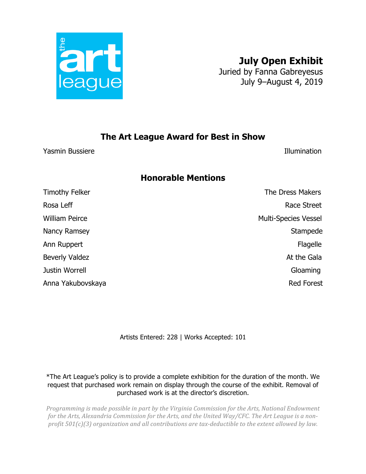

## **July Open Exhibit**

Juried by Fanna Gabreyesus July 9–August 4, 2019

## **The Art League Award for Best in Show**

Yasmin Bussiere Illumination

## **Honorable Mentions**

Timothy Felker **The Dress Makers** The Dress Makers Rosa Leff **Rosa** Leff **Race Street** William Peirce **Multi-Species Vessel** Nancy Ramsey Stampede Ann Ruppert Flagelle Beverly Valdez **At the Gala** Justin Worrell Gloaming Anna Yakubovskaya **Red Forest** 

Artists Entered: 228 | Works Accepted: 101

\*The Art League's policy is to provide a complete exhibition for the duration of the month. We request that purchased work remain on display through the course of the exhibit. Removal of purchased work is at the director's discretion.

*Programming is made possible in part by the Virginia Commission for the Arts, National Endowment* for the Arts, Alexandria Commission for the Arts, and the United Way/CFC. The Art League is a non*profit*  $501(c)(3)$  organization and all contributions are tax-deductible to the extent allowed by law.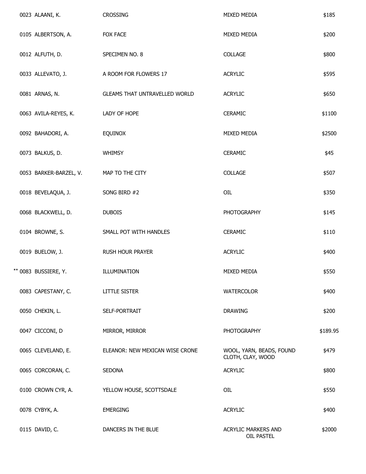| 0023 ALAANI, K.        | <b>CROSSING</b>                 | MIXED MEDIA                                   | \$185    |
|------------------------|---------------------------------|-----------------------------------------------|----------|
| 0105 ALBERTSON, A.     | FOX FACE                        | MIXED MEDIA                                   | \$200    |
| 0012 ALFUTH, D.        | SPECIMEN NO. 8                  | COLLAGE                                       | \$800    |
| 0033 ALLEVATO, J.      | A ROOM FOR FLOWERS 17           | <b>ACRYLIC</b>                                | \$595    |
| 0081 ARNAS, N.         | GLEAMS THAT UNTRAVELLED WORLD   | <b>ACRYLIC</b>                                | \$650    |
| 0063 AVILA-REYES, K.   | LADY OF HOPE                    | <b>CERAMIC</b>                                | \$1100   |
| 0092 BAHADORI, A.      | <b>EQUINOX</b>                  | MIXED MEDIA                                   | \$2500   |
| 0073 BALKUS, D.        | <b>WHIMSY</b>                   | CERAMIC                                       | \$45     |
| 0053 BARKER-BARZEL, V. | MAP TO THE CITY                 | COLLAGE                                       | \$507    |
| 0018 BEVELAQUA, J.     | SONG BIRD #2                    | OIL                                           | \$350    |
| 0068 BLACKWELL, D.     | <b>DUBOIS</b>                   | <b>PHOTOGRAPHY</b>                            | \$145    |
| 0104 BROWNE, S.        | SMALL POT WITH HANDLES          | <b>CERAMIC</b>                                | \$110    |
| 0019 BUELOW, J.        | <b>RUSH HOUR PRAYER</b>         | <b>ACRYLIC</b>                                | \$400    |
| ** 0083 BUSSIERE, Y.   | ILLUMINATION                    | MIXED MEDIA                                   | \$550    |
| 0083 CAPESTANY, C.     | <b>LITTLE SISTER</b>            | <b>WATERCOLOR</b>                             | \$400    |
| 0050 CHEKIN, L.        | SELF-PORTRAIT                   | <b>DRAWING</b>                                | \$200    |
| 0047 CICCONI, D        | MIRROR, MIRROR                  | <b>PHOTOGRAPHY</b>                            | \$189.95 |
| 0065 CLEVELAND, E.     | ELEANOR: NEW MEXICAN WISE CRONE | WOOL, YARN, BEADS, FOUND<br>CLOTH, CLAY, WOOD | \$479    |
| 0065 CORCORAN, C.      | <b>SEDONA</b>                   | <b>ACRYLIC</b>                                | \$800    |
| 0100 CROWN CYR, A.     | YELLOW HOUSE, SCOTTSDALE        | <b>OIL</b>                                    | \$550    |
| 0078 CYBYK, A.         | <b>EMERGING</b>                 | <b>ACRYLIC</b>                                | \$400    |
| 0115 DAVID, C.         | DANCERS IN THE BLUE             | <b>ACRYLIC MARKERS AND</b><br>OIL PASTEL      | \$2000   |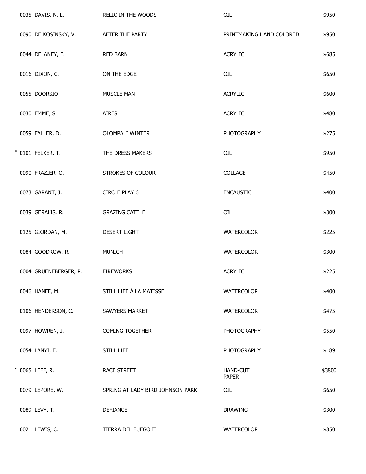| 0035 DAVIS, N. L.     | RELIC IN THE WOODS               | OIL                             | \$950  |
|-----------------------|----------------------------------|---------------------------------|--------|
| 0090 DE KOSINSKY, V.  | AFTER THE PARTY                  | PRINTMAKING HAND COLORED        | \$950  |
| 0044 DELANEY, E.      | <b>RED BARN</b>                  | <b>ACRYLIC</b>                  | \$685  |
| 0016 DIXON, C.        | ON THE EDGE                      | OIL                             | \$650  |
| 0055 DOORSIO          | MUSCLE MAN                       | <b>ACRYLIC</b>                  | \$600  |
| 0030 EMME, S.         | <b>AIRES</b>                     | <b>ACRYLIC</b>                  | \$480  |
| 0059 FALLER, D.       | OLOMPALI WINTER                  | <b>PHOTOGRAPHY</b>              | \$275  |
| * 0101 FELKER, T.     | THE DRESS MAKERS                 | OIL                             | \$950  |
| 0090 FRAZIER, O.      | STROKES OF COLOUR                | COLLAGE                         | \$450  |
| 0073 GARANT, J.       | <b>CIRCLE PLAY 6</b>             | <b>ENCAUSTIC</b>                | \$400  |
| 0039 GERALIS, R.      | <b>GRAZING CATTLE</b>            | OIL                             | \$300  |
| 0125 GIORDAN, M.      | <b>DESERT LIGHT</b>              | <b>WATERCOLOR</b>               | \$225  |
| 0084 GOODROW, R.      | <b>MUNICH</b>                    | WATERCOLOR                      | \$300  |
| 0004 GRUENEBERGER, P. | <b>FIREWORKS</b>                 | <b>ACRYLIC</b>                  | \$225  |
| 0046 HANFF, M.        | STILL LIFE Á LA MATISSE          | <b>WATERCOLOR</b>               | \$400  |
| 0106 HENDERSON, C.    | SAWYERS MARKET                   | WATERCOLOR                      | \$475  |
| 0097 HOWREN, J.       | <b>COMING TOGETHER</b>           | <b>PHOTOGRAPHY</b>              | \$550  |
| 0054 LANYI, E.        | <b>STILL LIFE</b>                | <b>PHOTOGRAPHY</b>              | \$189  |
| * 0065 LEFF, R.       | RACE STREET                      | <b>HAND-CUT</b><br><b>PAPER</b> | \$3800 |
| 0079 LEPORE, W.       | SPRING AT LADY BIRD JOHNSON PARK | OIL                             | \$650  |
| 0089 LEVY, T.         | <b>DEFIANCE</b>                  | <b>DRAWING</b>                  | \$300  |
| 0021 LEWIS, C.        | TIERRA DEL FUEGO II              | <b>WATERCOLOR</b>               | \$850  |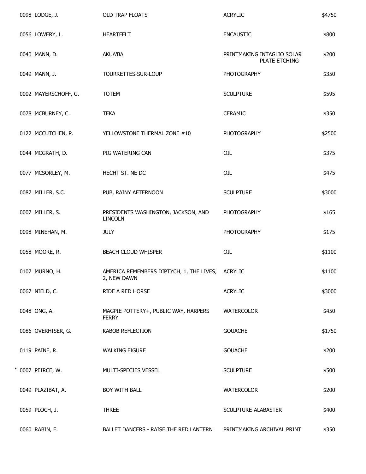|  | 0098 LODGE, J.       | OLD TRAP FLOATS                                                 | <b>ACRYLIC</b>                              | \$4750 |
|--|----------------------|-----------------------------------------------------------------|---------------------------------------------|--------|
|  | 0056 LOWERY, L.      | HEARTFELT                                                       | <b>ENCAUSTIC</b>                            | \$800  |
|  | 0040 MANN, D.        | <b>AKUA'BA</b>                                                  | PRINTMAKING INTAGLIO SOLAR<br>PLATE ETCHING | \$200  |
|  | 0049 MANN, J.        | TOURRETTES-SUR-LOUP                                             | <b>PHOTOGRAPHY</b>                          | \$350  |
|  | 0002 MAYERSCHOFF, G. | <b>TOTEM</b>                                                    | <b>SCULPTURE</b>                            | \$595  |
|  | 0078 MCBURNEY, C.    | <b>TEKA</b>                                                     | <b>CERAMIC</b>                              | \$350  |
|  | 0122 MCCUTCHEN, P.   | YELLOWSTONE THERMAL ZONE #10                                    | PHOTOGRAPHY                                 | \$2500 |
|  | 0044 MCGRATH, D.     | PIG WATERING CAN                                                | OIL                                         | \$375  |
|  | 0077 MCSORLEY, M.    | HECHT ST. NE DC                                                 | OIL                                         | \$475  |
|  | 0087 MILLER, S.C.    | PUB, RAINY AFTERNOON                                            | <b>SCULPTURE</b>                            | \$3000 |
|  | 0007 MILLER, S.      | PRESIDENTS WASHINGTON, JACKSON, AND<br><b>LINCOLN</b>           | <b>PHOTOGRAPHY</b>                          | \$165  |
|  | 0098 MINEHAN, M.     | <b>JULY</b>                                                     | <b>PHOTOGRAPHY</b>                          | \$175  |
|  | 0058 MOORE, R.       | BEACH CLOUD WHISPER                                             | OIL                                         | \$1100 |
|  | 0107 MURNO, H.       | AMERICA REMEMBERS DIPTYCH, 1, THE LIVES, ACRYLIC<br>2, NEW DAWN |                                             | \$1100 |
|  | 0067 NIELD, C.       | RIDE A RED HORSE                                                | <b>ACRYLIC</b>                              | \$3000 |
|  | 0048 ONG, A.         | MAGPIE POTTERY+, PUBLIC WAY, HARPERS<br><b>FERRY</b>            | WATERCOLOR                                  | \$450  |
|  | 0086 OVERHISER, G.   | KABOB REFLECTION                                                | <b>GOUACHE</b>                              | \$1750 |
|  | 0119 PAINE, R.       | <b>WALKING FIGURE</b>                                           | <b>GOUACHE</b>                              | \$200  |
|  | * 0007 PEIRCE, W.    | MULTI-SPECIES VESSEL                                            | <b>SCULPTURE</b>                            | \$500  |
|  | 0049 PLAZIBAT, A.    | BOY WITH BALL                                                   | <b>WATERCOLOR</b>                           | \$200  |
|  | 0059 PLOCH, J.       | <b>THREE</b>                                                    | SCULPTURE ALABASTER                         | \$400  |
|  | 0060 RABIN, E.       | BALLET DANCERS - RAISE THE RED LANTERN                          | PRINTMAKING ARCHIVAL PRINT                  | \$350  |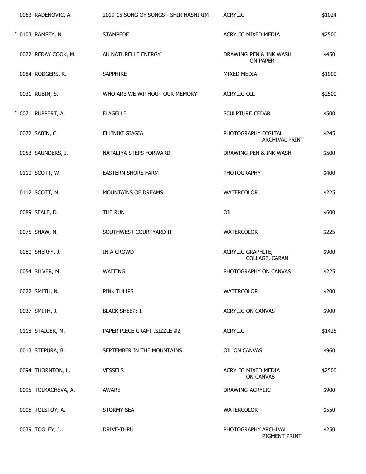| 0063 RADENOVIC, A.  | 2019-15 SONG OF SONGS - SHIR HASHIRIM | <b>ACRYLIC</b>                          | \$1024 |
|---------------------|---------------------------------------|-----------------------------------------|--------|
| * 0103 RAMSEY, N.   | <b>STAMPEDE</b>                       | ACRYLIC MIXED MEDIA                     | \$2500 |
| 0072 REDAY COOK, M. | AU NATURELLE ENERGY                   | DRAWING PEN & INK WASH<br>ON PAPER      | \$450  |
| 0084 RODGERS, K.    | <b>SAPPHIRE</b>                       | MIXED MEDIA                             | \$1000 |
| 0031 RUBIN, S.      | WHO ARE WE WITHOUT OUR MEMORY         | ACRYLIC OIL                             | \$2500 |
| * 0071 RUPPERT, A.  | <b>FLAGELLE</b>                       | SCULPTURE CEDAR                         | \$500  |
| 0072 SABIN, C.      | ELLINIKI GIAGIA                       | PHOTOGRAPHY DIGITAL<br>ARCHIVAL PRINT   | \$245  |
| 0053 SAUNDERS, J.   | NATALIYA STEPS FORWARD                | DRAWING PEN & INK WASH                  | \$500  |
| 0110 SCOTT, W.      | EASTERN SHORE FARM                    | <b>PHOTOGRAPHY</b>                      | \$400  |
| 0112 SCOTT, M.      | MOUNTAINS OF DREAMS                   | <b>WATERCOLOR</b>                       | \$225  |
| 0089 SEALE, D.      | THE RUN                               | OIL                                     | \$600  |
| 0075 SHAW, N.       | SOUTHWEST COURTYARD II                | <b>WATERCOLOR</b>                       | \$225  |
| 0080 SHERFY, J.     | IN A CROWD                            | ACRYLIC GRAPHITE,<br>COLLAGE, CARAN     | \$900  |
| 0054 SILVER, M.     | WAITING                               | PHOTOGRAPHY ON CANVAS                   | \$225  |
| 0022 SMITH, N.      | PINK TULIPS                           | <b>WATERCOLOR</b>                       | \$200  |
| 0037 SMITH, J.      | <b>BLACK SHEEP: 1</b>                 | ACRYLIC ON CANVAS                       | \$900  |
| 0118 STAIGER, M.    | PAPER PIECE GRAFT, SIZZLE #2          | <b>ACRYLIC</b>                          | \$1425 |
| 0013 STEPURA, B.    | SEPTEMBER IN THE MOUNTAINS            | OIL ON CANVAS                           | \$960  |
| 0094 THORNTON, L.   | <b>VESSELS</b>                        | ACRYLIC MIXED MEDIA<br><b>ON CANVAS</b> | \$2500 |
| 0095 TOLKACHEVA, A. | AWARE                                 | DRAWING ACRYLIC                         | \$900  |
| 0005 TOLSTOY, A.    | <b>STORMY SEA</b>                     | <b>WATERCOLOR</b>                       | \$550  |
| 0039 TOOLEY, J.     | DRIVE-THRU                            | PHOTOGRAPHY ARCHIVAL<br>PIGMENT PRINT   | \$250  |